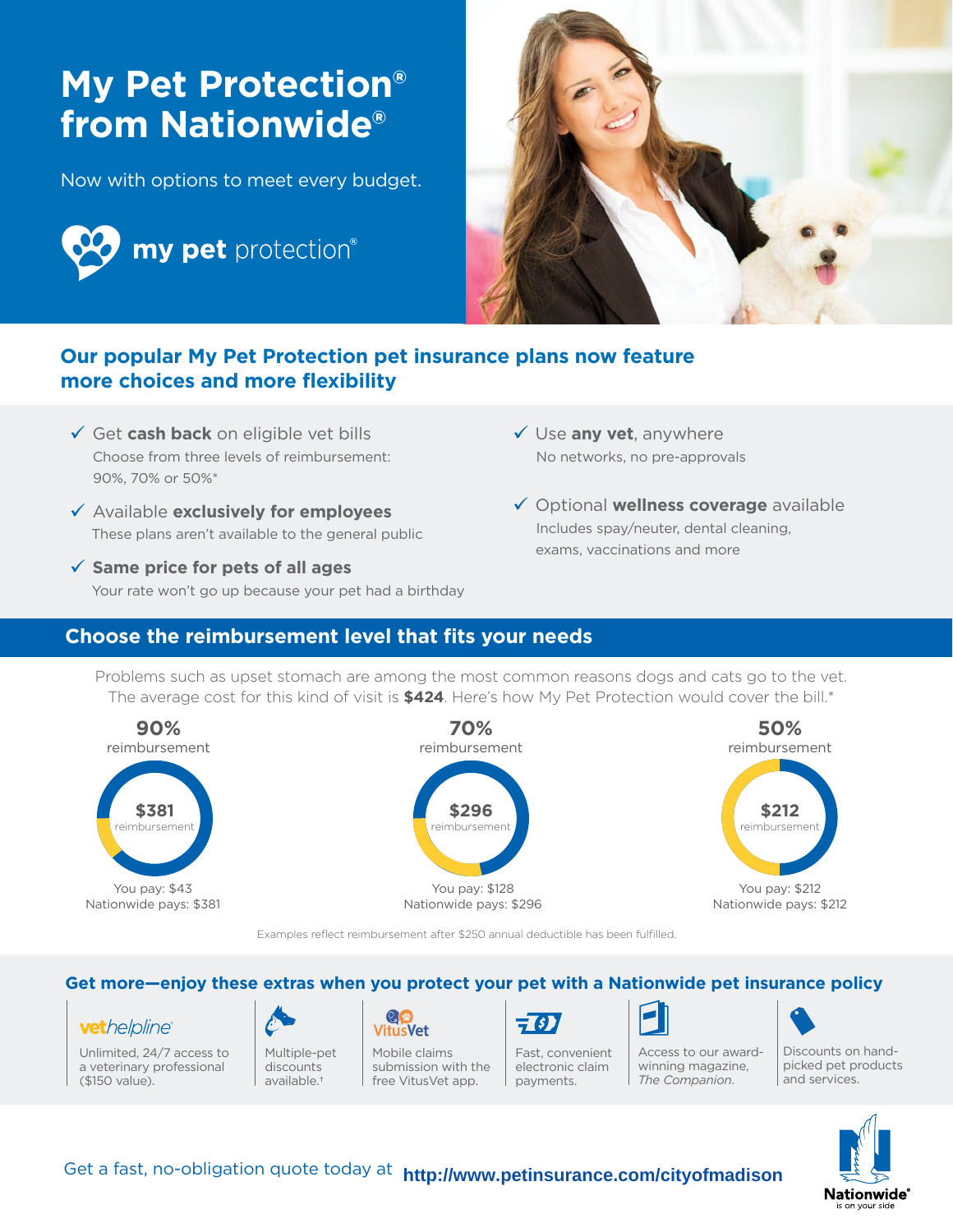# **My Pet Protection® from Nationwide®**

Now with options to meet every budget.





## **Our popular My Pet Protection pet insurance plans now feature more choices and more flexibility**

- Get **cash back** on eligible vet bills Choose from three levels of reimbursement: 90%, 70% or 50%\*
- Available **exclusively for employees** These plans aren't available to the general public
- **Same price for pets of all ages** Your rate won't go up because your pet had a birthday
- Use **any vet**, anywhere No networks, no pre-approvals
- Optional **wellness coverage** available Includes spay/neuter, dental cleaning, exams, vaccinations and more

### **Choose the reimbursement level that fits your needs**

Problems such as upset stomach are among the most common reasons dogs and cats go to the vet. The average cost for this kind of visit is **\$424**. Here's how My Pet Protection would cover the bill.\*



Examples reflect reimbursement after \$250 annual deductible has been fulfilled.

#### **Get more—enjoy these extras when you protect your pet with a Nationwide pet insurance policy**

#### vethelpline®

Unlimited, 24/7 access to a veterinary professional (\$150 value).



discounts available.†

**VitusVet** Mobile claims submission with the free VitusVet app.



Fast, convenient electronic claim payments.



Discounts on handpicked pet products and services. Access to our awardwinning magazine, *The Companion*.



Get a fast, no-obligation quote today at **http://www.petinsurance.com/cityofmadison**